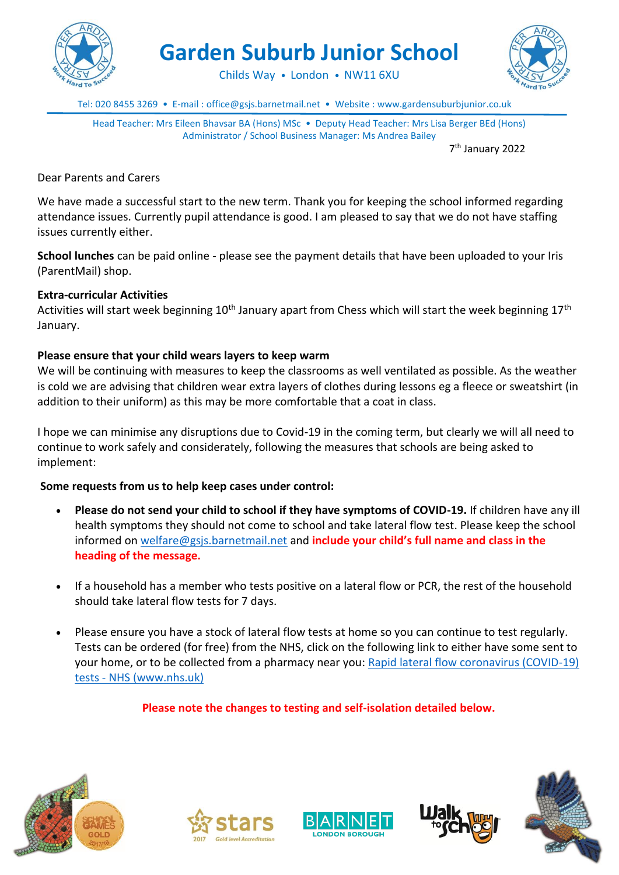

**Garden Suburb Junior School**

Childs Way • London • NW11 6XU



Tel: 020 8455 3269 • E-mail : office@gsjs.barnetmail.net • Website : www.gardensuburbjunior.co.uk

Head Teacher: Mrs Eileen Bhavsar BA (Hons) MSc • Deputy Head Teacher: Mrs Lisa Berger BEd (Hons) Administrator / School Business Manager: Ms Andrea Bailey

7 th January 2022

Dear Parents and Carers

We have made a successful start to the new term. Thank you for keeping the school informed regarding attendance issues. Currently pupil attendance is good. I am pleased to say that we do not have staffing issues currently either.

**School lunches** can be paid online - please see the payment details that have been uploaded to your Iris (ParentMail) shop.

#### **Extra-curricular Activities**

Activities will start week beginning 10<sup>th</sup> January apart from Chess which will start the week beginning 17<sup>th</sup> January.

#### **Please ensure that your child wears layers to keep warm**

We will be continuing with measures to keep the classrooms as well ventilated as possible. As the weather is cold we are advising that children wear extra layers of clothes during lessons eg a fleece or sweatshirt (in addition to their uniform) as this may be more comfortable that a coat in class.

I hope we can minimise any disruptions due to Covid-19 in the coming term, but clearly we will all need to continue to work safely and considerately, following the measures that schools are being asked to implement:

#### **Some requests from us to help keep cases under control:**

- **Please do not send your child to school if they have symptoms of COVID-19.** If children have any ill health symptoms they should not come to school and take lateral flow test. Please keep the school informed on [welfare@gsjs.barnetmail.net](mailto:welfare@gsjs.barnetmail.net) and **include your child's full name and class in the heading of the message.**
- If a household has a member who tests positive on a lateral flow or PCR, the rest of the household should take lateral flow tests for 7 days.
- Please ensure you have a stock of lateral flow tests at home so you can continue to test regularly. Tests can be ordered (for free) from the NHS, click on the following link to either have some sent to your home, or to be collected from a pharmacy near you: [Rapid lateral flow coronavirus \(COVID-19\)](https://www.nhs.uk/conditions/coronavirus-covid-19/testing/regular-rapid-coronavirus-tests-if-you-do-not-have-symptoms/)  tests - [NHS \(www.nhs.uk\)](https://www.nhs.uk/conditions/coronavirus-covid-19/testing/regular-rapid-coronavirus-tests-if-you-do-not-have-symptoms/)

**Please note the changes to testing and self-isolation detailed below.**









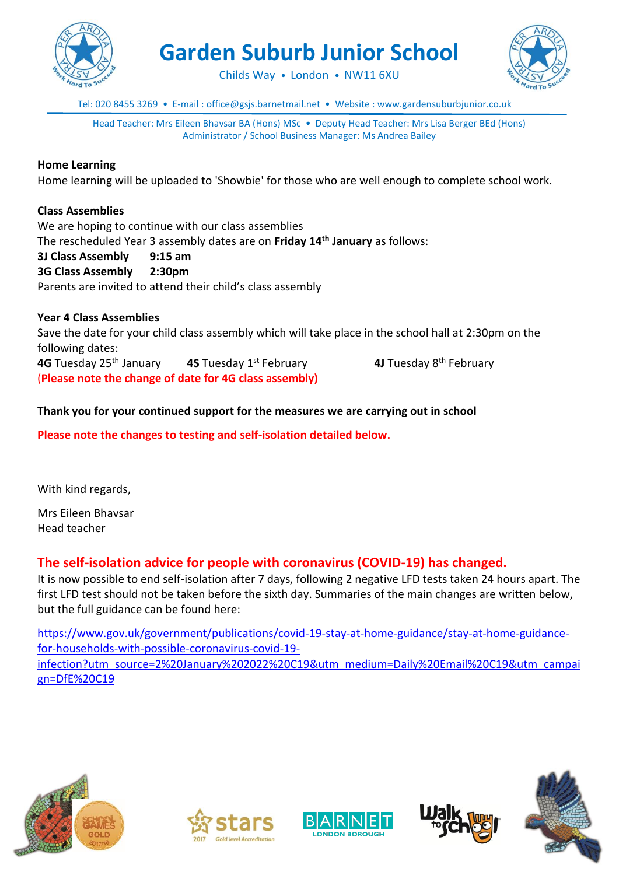

**Garden Suburb Junior School**



Childs Way • London • NW11 6XU

Tel: 020 8455 3269 • E-mail : office@gsjs.barnetmail.net • Website : www.gardensuburbjunior.co.uk

Head Teacher: Mrs Eileen Bhavsar BA (Hons) MSc • Deputy Head Teacher: Mrs Lisa Berger BEd (Hons) Administrator / School Business Manager: Ms Andrea Bailey

#### **Home Learning**

Home learning will be uploaded to 'Showbie' for those who are well enough to complete school work.

### **Class Assemblies**

We are hoping to continue with our class assemblies The rescheduled Year 3 assembly dates are on **Friday 14th January** as follows: **3J Class Assembly 9:15 am 3G Class Assembly 2:30pm** Parents are invited to attend their child's class assembly

**Year 4 Class Assemblies** Save the date for your child class assembly which will take place in the school hall at 2:30pm on the following dates: **4G** Tuesday 25th January **4S** Tuesday 1st February **4J** Tuesday 8th February (**Please note the change of date for 4G class assembly)**

### **Thank you for your continued support for the measures we are carrying out in school**

**Please note the changes to testing and self-isolation detailed below.**

With kind regards,

Mrs Eileen Bhavsar Head teacher

## **The self-isolation advice for people with coronavirus (COVID-19) has changed.**

It is now possible to end self-isolation after 7 days, following 2 negative LFD tests taken 24 hours apart. The first LFD test should not be taken before the sixth day. Summaries of the main changes are written below, but the full guidance can be found here:

[https://www.gov.uk/government/publications/covid-19-stay-at-home-guidance/stay-at-home-guidance](https://www.gov.uk/government/publications/covid-19-stay-at-home-guidance/stay-at-home-guidance-for-households-with-possible-coronavirus-covid-19-infection?utm_source=2%20January%202022%20C19&utm_medium=Daily%20Email%20C19&utm_campaign=DfE%20C19)[for-households-with-possible-coronavirus-covid-19](https://www.gov.uk/government/publications/covid-19-stay-at-home-guidance/stay-at-home-guidance-for-households-with-possible-coronavirus-covid-19-infection?utm_source=2%20January%202022%20C19&utm_medium=Daily%20Email%20C19&utm_campaign=DfE%20C19) [infection?utm\\_source=2%20January%202022%20C19&utm\\_medium=Daily%20Email%20C19&utm\\_campai](https://www.gov.uk/government/publications/covid-19-stay-at-home-guidance/stay-at-home-guidance-for-households-with-possible-coronavirus-covid-19-infection?utm_source=2%20January%202022%20C19&utm_medium=Daily%20Email%20C19&utm_campaign=DfE%20C19) [gn=DfE%20C19](https://www.gov.uk/government/publications/covid-19-stay-at-home-guidance/stay-at-home-guidance-for-households-with-possible-coronavirus-covid-19-infection?utm_source=2%20January%202022%20C19&utm_medium=Daily%20Email%20C19&utm_campaign=DfE%20C19)